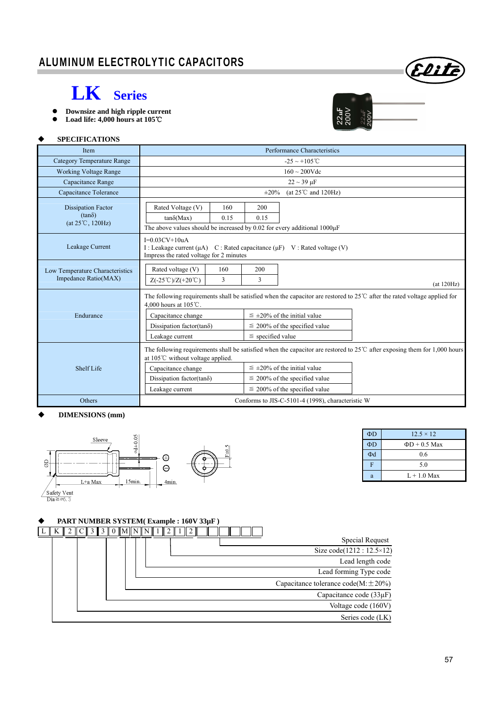

# **LK Series**

- **Downsize and high ripple current**
- **Load life: 4,000 hours at 105**℃



 $\Phi D$  12.5 × 12  $\Phi D$   $\Phi D + 0.5$  Max  $\Phi$ d 0.6 F 5.0 a  $L + 1.0$  Max

#### **SPECIFICATIONS**

| Item                                                                    | Performance Characteristics                                                                                                                                                                                                                                                                                                                                                        |  |  |  |  |
|-------------------------------------------------------------------------|------------------------------------------------------------------------------------------------------------------------------------------------------------------------------------------------------------------------------------------------------------------------------------------------------------------------------------------------------------------------------------|--|--|--|--|
| <b>Category Temperature Range</b>                                       | $-25 \sim +105^{\circ}$ C                                                                                                                                                                                                                                                                                                                                                          |  |  |  |  |
| <b>Working Voltage Range</b>                                            | $160 \sim 200$ Vdc                                                                                                                                                                                                                                                                                                                                                                 |  |  |  |  |
| Capacitance Range                                                       | $22 \sim 39 \,\mu F$                                                                                                                                                                                                                                                                                                                                                               |  |  |  |  |
| Capacitance Tolerance                                                   | (at $25^{\circ}$ C and $120$ Hz)<br>$\pm 20\%$                                                                                                                                                                                                                                                                                                                                     |  |  |  |  |
| <b>Dissipation Factor</b><br>$(tan\delta)$<br>$(at 25^{\circ}C, 120Hz)$ | Rated Voltage (V)<br>160<br>200<br>$tan\delta(Max)$<br>0.15<br>0.15<br>The above values should be increased by 0.02 for every additional 1000µF                                                                                                                                                                                                                                    |  |  |  |  |
| Leakage Current                                                         | $I=0.03CV+10uA$<br>I : Leakage current ( $\mu$ A) C : Rated capacitance ( $\mu$ F) V : Rated voltage (V)<br>Impress the rated voltage for 2 minutes                                                                                                                                                                                                                                |  |  |  |  |
| Low Temperature Characteristics<br>Impedance Ratio(MAX)                 | Rated voltage (V)<br>160<br>200<br>$Z(-25^{\circ}\text{C})/Z(+20^{\circ}\text{C})$<br>3<br>3<br>(at 120Hz)                                                                                                                                                                                                                                                                         |  |  |  |  |
| Endurance                                                               | The following requirements shall be satisfied when the capacitor are restored to 25 $\degree$ C after the rated voltage applied for<br>4.000 hours at 105℃.<br>$\leq \pm 20\%$ of the initial value<br>Capacitance change<br>Dissipation factor(tano)<br>$\leq$ 200% of the specified value<br>$\le$ specified value<br>Leakage current                                            |  |  |  |  |
| Shelf Life                                                              | The following requirements shall be satisfied when the capacitor are restored to $25^{\circ}$ after exposing them for 1,000 hours<br>at $105^{\circ}$ C without voltage applied.<br>$\leq \pm 20\%$ of the initial value<br>Capacitance change<br>Dissipation factor(tan $\delta$ )<br>$\leq$ 200% of the specified value<br>$\leq$ 200% of the specified value<br>Leakage current |  |  |  |  |
| Others                                                                  | Conforms to JIS-C-5101-4 (1998), characteristic W                                                                                                                                                                                                                                                                                                                                  |  |  |  |  |

#### **DIMENSIONS (mm)**



## **PART NUMBER SYSTEM( Example : 160V 33µF )**